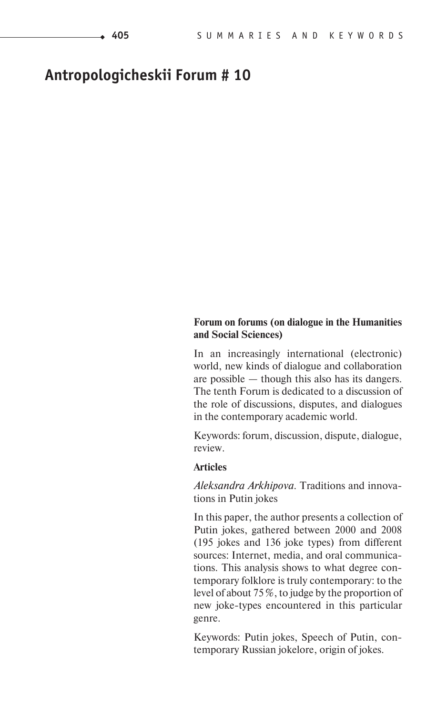# **Antropologicheskii Forum # 10**

# **Forum on forums (on dialogue in the Humanities and Social Sciences)**

In an increasingly international (electronic) world, new kinds of dialogue and collaboration are possible — though this also has its dangers. The tenth Forum is dedicated to a discussion of the role of discussions, disputes, and dialogues in the contemporary academic world.

Keywords: forum, discussion, dispute, dialogue, review.

## **Articles**

*Aleksandra Arkhipova*. Traditions and innovations in Putin jokes

In this paper, the author presents a collection of Putin jokes, gathered between 2000 and 2008 (195 jokes and 136 joke types) from different sources: Internet, media, and oral communications. This analysis shows to what degree contemporary folklore is truly contemporary: to the level of about 75 %, to judge by the proportion of new joke-types encountered in this particular genre.

Keywords: Putin jokes, Speech of Putin, contemporary Russian jokelore, origin of jokes.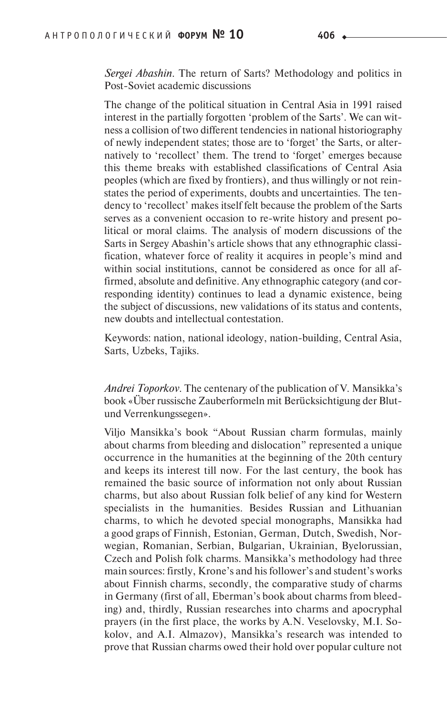*Sergei Abashin*. The return of Sarts? Methodology and politics in Post-Soviet academic discussions

The change of the political situation in Central Asia in 1991 raised interest in the partially forgotten 'problem of the Sarts'. We can witness a collision of two different tendencies in national historiography of newly independent states; those are to 'forget' the Sarts, or alternatively to 'recollect' them. The trend to 'forget' emerges because this theme breaks with established classifications of Central Asia peoples (which are fixed by frontiers), and thus willingly or not reinstates the period of experiments, doubts and uncertainties. The tendency to 'recollect' makes itself felt because the problem of the Sarts serves as a convenient occasion to re-write history and present political or moral claims. The analysis of modern discussions of the Sarts in Sergey Abashin's article shows that any ethnographic classification, whatever force of reality it acquires in people's mind and within social institutions, cannot be considered as once for all affirmed, absolute and definitive. Any ethnographic category (and corresponding identity) continues to lead a dynamic existence, being the subject of discussions, new validations of its status and contents, new doubts and intellectual contestation.

Keywords: nation, national ideology, nation-building, Central Asia, Sarts, Uzbeks, Tajiks.

*Andrei Toporkov*. The centenary of the publication of V. Mansikka's book «U ber russische Zauberformeln mit Beru cksichtigung der Blutund Verrenkungssegen».

Viljo Mansikka's book "About Russian charm formulas, mainly about charms from bleeding and dislocation" represented a unique occurrence in the humanities at the beginning of the 20th century and keeps its interest till now. For the last century, the book has remained the basic source of information not only about Russian charms, but also about Russian folk belief of any kind for Western specialists in the humanities. Besides Russian and Lithuanian charms, to which he devoted special monographs, Mansikka had a good graps of Finnish, Estonian, German, Dutch, Swedish, Norwegian, Romanian, Serbian, Bulgarian, Ukrainian, Byelorussian, Czech and Polish folk charms. Mansikka's methodology had three main sources: firstly, Krone's and his follower's and student's works about Finnish charms, secondly, the comparative study of charms in Germany (first of all, Eberman's book about charms from bleeding) and, thirdly, Russian researches into charms and apocryphal prayers (in the first place, the works by A.N. Veselovsky, M.I. Sokolov, and A.I. Almazov), Mansikka's research was intended to prove that Russian charms owed their hold over popular culture not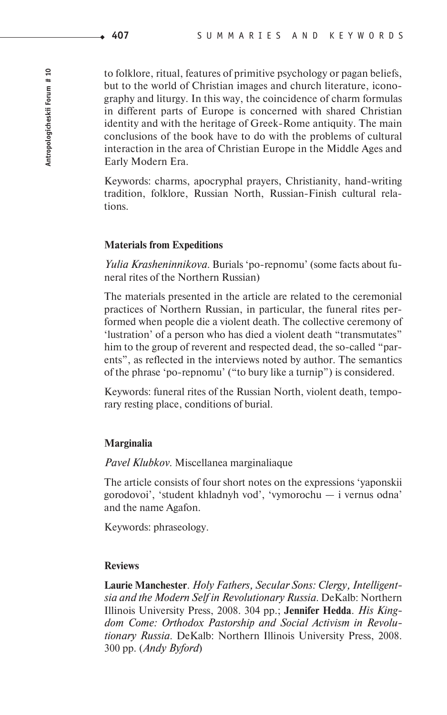to folklore, ritual, features of primitive psychology or pagan beliefs, but to the world of Christian images and church literature, iconography and liturgy. In this way, the coincidence of charm formulas in different parts of Europe is concerned with shared Christian identity and with the heritage of Greek-Rome antiquity. The main conclusions of the book have to do with the problems of cultural interaction in the area of Christian Europe in the Middle Ages and Early Modern Era.

Keywords: charms, apocryphal prayers, Christianity, hand-writing tradition, folklore, Russian North, Russian-Finish cultural relations.

#### **Materials from Expeditions**

*Yulia Krasheninnikova*. Burials 'po-repnomu' (some facts about funeral rites of the Northern Russian)

The materials presented in the article are related to the ceremonial practices of Northern Russian, in particular, the funeral rites performed when people die a violent death. The collective ceremony of 'lustration' of a person who has died a violent death "transmutates" him to the group of reverent and respected dead, the so-called "parents", as reflected in the interviews noted by author. The semantics of the phrase 'po-repnomu' ("to bury like a turnip") is considered.

Keywords: funeral rites of the Russian North, violent death, temporary resting place, conditions of burial.

#### **Marginalia**

*Pavel Klubkov*. Miscellanea marginaliaque

The article consists of four short notes on the expressions 'yaponskii gorodovoi', 'student khladnyh vod', 'vymorochu — i vernus odna' and the name Agafon.

Keywords: phraseology.

#### **Reviews**

**Laurie Manchester**. *Holy Fathers, Secular Sons: Clergy, Intelligentsia and the Modern Self in Revolutionary Russia*. DeKalb: Northern Illinois University Press, 2008. 304 pp.; **Jennifer Hedda**. *His Kingdom Come: Orthodox Pastorship and Social Activism in Revolutionary Russia*. DeKalb: Northern Illinois University Press, 2008. 300 pp. (*Andy Byford*)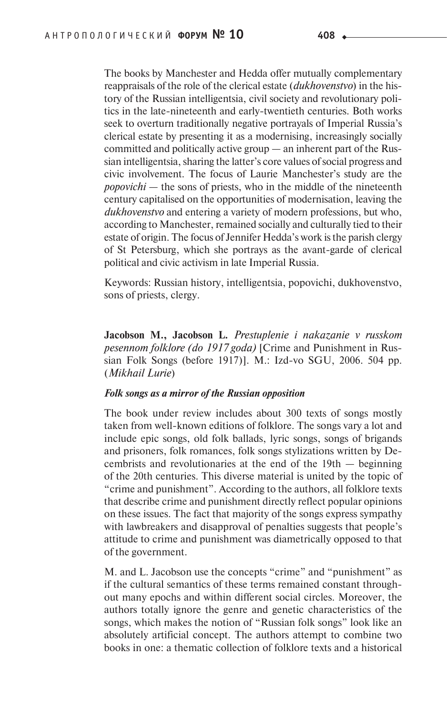The books by Manchester and Hedda offer mutually complementary reappraisals of the role of the clerical estate (*dukhovenstvo*) in the history of the Russian intelligentsia, civil society and revolutionary politics in the late-nineteenth and early-twentieth centuries. Both works seek to overturn traditionally negative portrayals of Imperial Russia's clerical estate by presenting it as a modernising, increasingly socially committed and politically active group — an inherent part of the Russian intelligentsia, sharing the latter's core values of social progress and civic involvement. The focus of Laurie Manchester's study are the *popovichi* — the sons of priests, who in the middle of the nineteenth century capitalised on the opportunities of modernisation, leaving the *dukhovenstvo* and entering a variety of modern professions, but who, according to Manchester, remained socially and culturally tied to their estate of origin. The focus of Jennifer Hedda's work is the parish clergy of St Petersburg, which she portrays as the avant-garde of clerical political and civic activism in late Imperial Russia.

Keywords: Russian history, intelligentsia, popovichi, dukhovenstvo, sons of priests, clergy.

**Jacobson M., Jacobson L.** *Prestuplenie i nakazanie v russkom pesennom folklore (do 1917 goda)* [Crime and Punishment in Russian Folk Songs (before 1917)]. M.: Izd-vo SGU, 2006. 504 pp. (*Mikhail Lurie*)

#### *Folk songs as a mirror of the Russian opposition*

The book under review includes about 300 texts of songs mostly taken from well-known editions of folklore. The songs vary a lot and include epic songs, old folk ballads, lyric songs, songs of brigands and prisoners, folk romances, folk songs stylizations written by Decembrists and revolutionaries at the end of the 19th — beginning of the 20th centuries. This diverse material is united by the topic of "crime and punishment". According to the authors, all folklore texts that describe crime and punishment directly reflect popular opinions on these issues. The fact that majority of the songs express sympathy with lawbreakers and disapproval of penalties suggests that people's attitude to crime and punishment was diametrically opposed to that of the government.

M. and L. Jacobson use the concepts "crime" and "punishment" as if the cultural semantics of these terms remained constant throughout many epochs and within different social circles. Moreover, the authors totally ignore the genre and genetic characteristics of the songs, which makes the notion of "Russian folk songs" look like an absolutely artificial concept. The authors attempt to combine two books in one: a thematic collection of folklore texts and a historical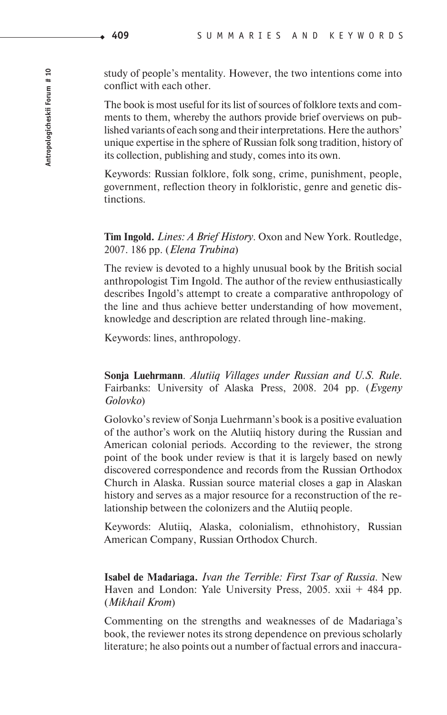study of people's mentality. However, the two intentions come into conflict with each other.

The book is most useful for its list of sources of folklore texts and comments to them, whereby the authors provide brief overviews on published variants of each song and their interpretations. Here the authors' unique expertise in the sphere of Russian folk song tradition, history of its collection, publishing and study, comes into its own.

Keywords: Russian folklore, folk song, crime, punishment, people, government, reflection theory in folkloristic, genre and genetic distinctions.

**Tim Ingold.** *Lines: A Brief History*. Oxon and New York. Routledge, 2007. 186 pp. (*Elena Trubina*)

The review is devoted to a highly unusual book by the British social anthropologist Tim Ingold. The author of the review enthusiastically describes Ingold's attempt to create a comparative anthropology of the line and thus achieve better understanding of how movement, knowledge and description are related through line-making.

Keywords: lines, anthropology.

**Sonja Luehrmann**. *Alutiiq Villages under Russian and U.S. Rule.* Fairbanks: University of Alaska Press, 2008. 204 pp. (*Evgeny Golovko*)

Golovko's review of Sonja Luehrmann's book is a positive evaluation of the author's work on the Alutiiq history during the Russian and American colonial periods. According to the reviewer, the strong point of the book under review is that it is largely based on newly discovered correspondence and records from the Russian Orthodox Church in Alaska. Russian source material closes a gap in Alaskan history and serves as a major resource for a reconstruction of the relationship between the colonizers and the Alutiiq people.

Keywords: Alutiiq, Alaska, colonialism, ethnohistory, Russian American Company, Russian Orthodox Church.

**Isabel de Madariaga.** *Ivan the Terrible: First Tsar of Russia*. New Haven and London: Yale University Press, 2005. xxii + 484 pp. (*Mikhail Krom*)

Commenting on the strengths and weaknesses of de Madariaga's book, the reviewer notes its strong dependence on previous scholarly literature; he also points out a number of factual errors and inaccura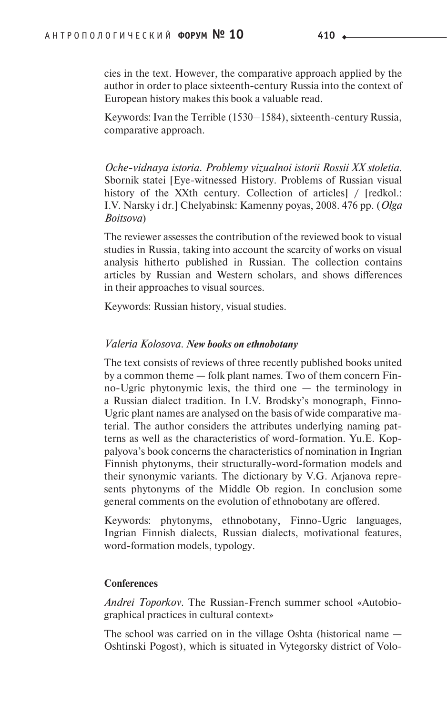cies in the text. However, the comparative approach applied by the author in order to place sixteenth-century Russia into the context of European history makes this book a valuable read.

Keywords: Ivan the Terrible (1530–1584), sixteenth-century Russia, comparative approach.

*Oche-vidnaya istoria. Problemy vizualnoi istorii Rossii XX stoletia*. Sbornik statei [Eye-witnessed History. Problems of Russian visual history of the XXth century. Collection of articles / [redkol.: I.V. Narsky i dr.] Chelyabinsk: Kamenny poyas, 2008. 476 pp. (*Olga Boitsova*)

The reviewer assesses the contribution of the reviewed book to visual studies in Russia, taking into account the scarcity of works on visual analysis hitherto published in Russian. The collection contains articles by Russian and Western scholars, and shows differences in their approaches to visual sources.

Keywords: Russian history, visual studies.

## *Valeria Kolosova. New books on ethnobotany*

The text consists of reviews of three recently published books united by a common theme — folk plant names. Two of them concern Finno-Ugric phytonymic lexis, the third one — the terminology in a Russian dialect tradition. In I.V. Brodsky's monograph, Finno-Ugric plant names are analysed on the basis of wide comparative material. The author considers the attributes underlying naming patterns as well as the characteristics of word-formation. Yu.E. Koppalyova's book concerns the characteristics of nomination in Ingrian Finnish phytonyms, their structurally-word-formation models and their synonymic variants. The dictionary by V.G. Arjanova represents phytonyms of the Middle Ob region. In conclusion some general comments on the evolution of ethnobotany are offered.

Keywords: phytonyms, ethnobotany, Finno-Ugric languages, Ingrian Finnish dialects, Russian dialects, motivational features, word-formation models, typology.

#### **Conferences**

*Andrei Toporkov.* The Russian-French summer school «Autobiographical practices in cultural context»

The school was carried on in the village Oshta (historical name — Oshtinski Pogost), which is situated in Vytegorsky district of Volo